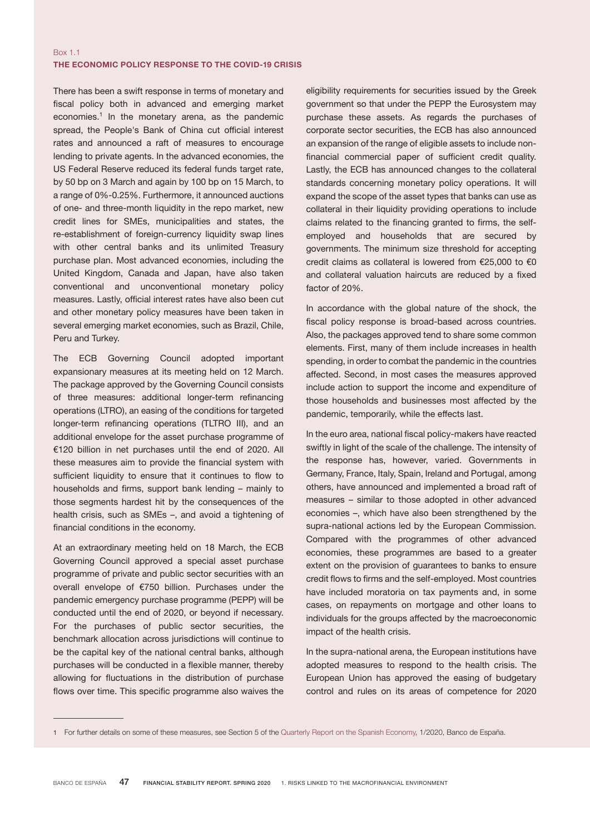## Box 1.1 THE ECONOMIC POLICY RESPONSE TO THE COVID-19 CRISIS

There has been a swift response in terms of monetary and fiscal policy both in advanced and emerging market economies.<sup>1</sup> In the monetary arena, as the pandemic spread, the People's Bank of China cut official interest rates and announced a raft of measures to encourage lending to private agents. In the advanced economies, the US Federal Reserve reduced its federal funds target rate, by 50 bp on 3 March and again by 100 bp on 15 March, to a range of 0%-0.25%. Furthermore, it announced auctions of one- and three-month liquidity in the repo market, new credit lines for SMEs, municipalities and states, the re-establishment of foreign-currency liquidity swap lines with other central banks and its unlimited Treasury purchase plan. Most advanced economies, including the United Kingdom, Canada and Japan, have also taken conventional and unconventional monetary policy measures. Lastly, official interest rates have also been cut and other monetary policy measures have been taken in several emerging market economies, such as Brazil, Chile, Peru and Turkey.

The ECB Governing Council adopted important expansionary measures at its meeting held on 12 March. The package approved by the Governing Council consists of three measures: additional longer-term refinancing operations (LTRO), an easing of the conditions for targeted longer-term refinancing operations (TLTRO III), and an additional envelope for the asset purchase programme of €120 billion in net purchases until the end of 2020. All these measures aim to provide the financial system with sufficient liquidity to ensure that it continues to flow to households and firms, support bank lending – mainly to those segments hardest hit by the consequences of the health crisis, such as SMEs –, and avoid a tightening of financial conditions in the economy.

At an extraordinary meeting held on 18 March, the ECB Governing Council approved a special asset purchase programme of private and public sector securities with an overall envelope of €750 billion. Purchases under the pandemic emergency purchase programme (PEPP) will be conducted until the end of 2020, or beyond if necessary. For the purchases of public sector securities, the benchmark allocation across jurisdictions will continue to be the capital key of the national central banks, although purchases will be conducted in a flexible manner, thereby allowing for fluctuations in the distribution of purchase flows over time. This specific programme also waives the eligibility requirements for securities issued by the Greek government so that under the PEPP the Eurosystem may purchase these assets. As regards the purchases of corporate sector securities, the ECB has also announced an expansion of the range of eligible assets to include nonfinancial commercial paper of sufficient credit quality. Lastly, the ECB has announced changes to the collateral standards concerning monetary policy operations. It will expand the scope of the asset types that banks can use as collateral in their liquidity providing operations to include claims related to the financing granted to firms, the selfemployed and households that are secured by governments. The minimum size threshold for accepting credit claims as collateral is lowered from €25,000 to €0 and collateral valuation haircuts are reduced by a fixed factor of 20%.

In accordance with the global nature of the shock, the fiscal policy response is broad-based across countries. Also, the packages approved tend to share some common elements. First, many of them include increases in health spending, in order to combat the pandemic in the countries affected. Second, in most cases the measures approved include action to support the income and expenditure of those households and businesses most affected by the pandemic, temporarily, while the effects last.

In the euro area, national fiscal policy-makers have reacted swiftly in light of the scale of the challenge. The intensity of the response has, however, varied. Governments in Germany, France, Italy, Spain, Ireland and Portugal, among others, have announced and implemented a broad raft of measures – similar to those adopted in other advanced economies –, which have also been strengthened by the supra-national actions led by the European Commission. Compared with the programmes of other advanced economies, these programmes are based to a greater extent on the provision of guarantees to banks to ensure credit flows to firms and the self-employed. Most countries have included moratoria on tax payments and, in some cases, on repayments on mortgage and other loans to individuals for the groups affected by the macroeconomic impact of the health crisis.

In the supra-national arena, the European institutions have adopted measures to respond to the health crisis. The European Union has approved the easing of budgetary control and rules on its areas of competence for 2020

<sup>1</sup> For further details on some of these measures, see Section 5 of the Quarterly Report on the Spanish [Economy](https://www.bde.es/f/webbde/SES/Secciones/Publicaciones/InformesBoletinesRevistas/BoletinEconomico/20/T1/descargar/Files/be2001e.pdf), 1/2020, Banco de España.